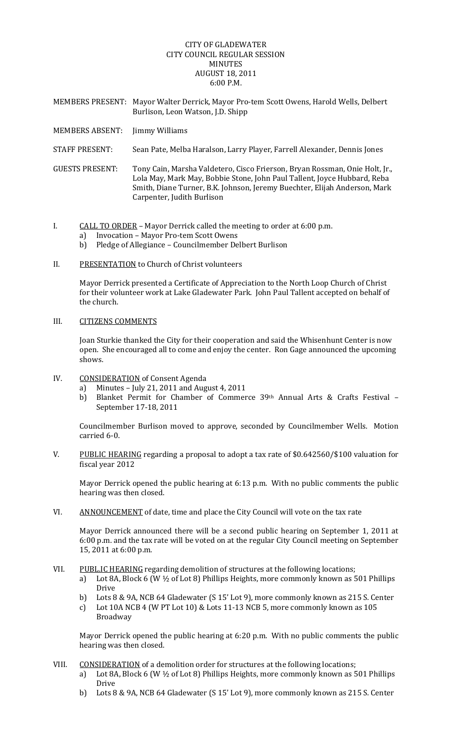# CITY OF GLADEWATER CITY COUNCIL REGULAR SESSION MINUTES AUGUST 18, 2011 6:00 P.M.

- MEMBERS PRESENT: Mayor Walter Derrick, Mayor Pro‐tem Scott Owens, Harold Wells, Delbert Burlison, Leon Watson, J.D. Shipp
- MEMBERS ABSENT: Jimmy Williams
- STAFF PRESENT: Sean Pate, Melba Haralson, Larry Player, Farrell Alexander, Dennis Jones
- GUESTS PRESENT: Tony Cain, Marsha Valdetero, Cisco Frierson, Bryan Rossman, Onie Holt, Jr., Lola May, Mark May, Bobbie Stone, John Paul Tallent, Joyce Hubbard, Reba Smith, Diane Turner, B.K. Johnson, Jeremy Buechter, Elijah Anderson, Mark Carpenter, Judith Burlison
- I. CALL TO ORDER Mayor Derrick called the meeting to order at 6:00 p.m.
	- a) Invocation Mayor Pro-tem Scott Owens
	- b) Pledge of Allegiance Councilmember Delbert Burlison
- II. PRESENTATION to Church of Christ volunteers

Mayor Derrick presented a Certificate of Appreciation to the North Loop Church of Christ for their volunteer work at Lake Gladewater Park. John Paul Tallent accepted on behalf of the church.

## III. CITIZENS COMMENTS

Joan Sturkie thanked the City for their cooperation and said the Whisenhunt Center is now open. She encouraged all to come and enjoy the center. Ron Gage announced the upcoming shows.

- IV. CONSIDERATION of Consent Agenda
	- a) Minutes July 21, 2011 and August 4, 2011
	- b) Blanket Permit for Chamber of Commerce 39th Annual Arts & Crafts Festival -September 17‐18, 2011

Councilmember Burlison moved to approve, seconded by Councilmember Wells. Motion carried 6‐0.

V. PUBLIC HEARING regarding a proposal to adopt a tax rate of \$0.642560/\$100 valuation for fiscal year 2012

Mayor Derrick opened the public hearing at 6:13 p.m. With no public comments the public hearing was then closed.

VI. ANNOUNCEMENT of date, time and place the City Council will vote on the tax rate

Mayor Derrick announced there will be a second public hearing on September 1, 2011 at 6:00 p.m. and the tax rate will be voted on at the regular City Council meeting on September 15, 2011 at 6:00 p.m.

- VII. PUBL.IC HEARING regarding demolition of structures at the following locations;
	- a) Lot 8A, Block 6 (W ½ of Lot 8) Phillips Heights, more commonly known as 501 Phillips Drive
	- b) Lots 8 & 9A, NCB 64 Gladewater (S 15' Lot 9), more commonly known as 215 S. Center
	- c) Lot 10A NCB 4 (W PT Lot 10) & Lots 11‐13 NCB 5, more commonly known as 105 Broadway

Mayor Derrick opened the public hearing at 6:20 p.m. With no public comments the public hearing was then closed.

- VIII. CONSIDERATION of a demolition order for structures at the following locations;
	- a) Lot 8A, Block 6 (W ½ of Lot 8) Phillips Heights, more commonly known as 501 Phillips Drive
	- b) Lots 8 & 9A, NCB 64 Gladewater (S 15' Lot 9), more commonly known as 215 S. Center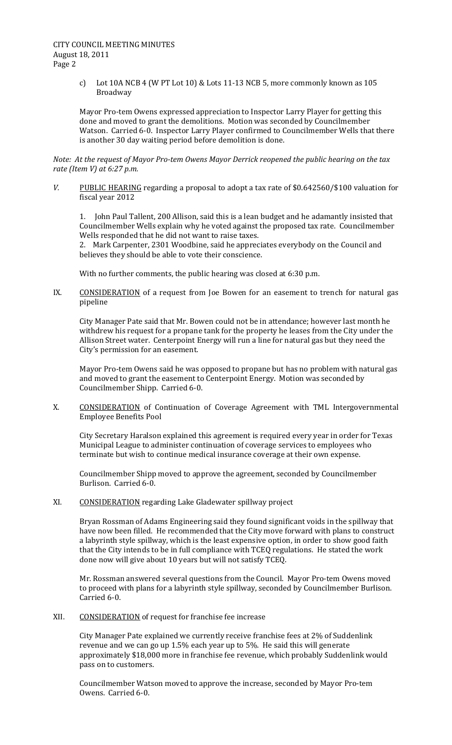c) Lot 10A NCB 4 (W PT Lot 10) & Lots 11‐13 NCB 5, more commonly known as 105 Broadway

Mayor Pro‐tem Owens expressed appreciation to Inspector Larry Player for getting this done and moved to grant the demolitions. Motion was seconded by Councilmember Watson. Carried 6‐0. Inspector Larry Player confirmed to Councilmember Wells that there is another 30 day waiting period before demolition is done.

Note: At the request of Mayor Pro-tem Owens Mayor Derrick reopened the public hearing on the tax *rate (Item V) at 6:27 p.m.*

*V.* PUBLIC HEARING regarding a proposal to adopt a tax rate of \$0.642560/\$100 valuation for fiscal year 2012

1. John Paul Tallent, 200 Allison, said this is a lean budget and he adamantly insisted that Councilmember Wells explain why he voted against the proposed tax rate. Councilmember Wells responded that he did not want to raise taxes.

2. Mark Carpenter, 2301 Woodbine, said he appreciates everybody on the Council and believes they should be able to vote their conscience.

With no further comments, the public hearing was closed at 6:30 p.m.

IX. CONSIDERATION of a request from Joe Bowen for an easement to trench for natural gas pipeline

City Manager Pate said that Mr. Bowen could not be in attendance; however last month he withdrew his request for a propane tank for the property he leases from the City under the Allison Street water. Centerpoint Energy will run a line for natural gas but they need the City's permission for an easement.

Mayor Pro‐tem Owens said he was opposed to propane but has no problem with natural gas and moved to grant the easement to Centerpoint Energy. Motion was seconded by Councilmember Shipp. Carried 6‐0.

X. CONSIDERATION of Continuation of Coverage Agreement with TML Intergovernmental Employee Benefits Pool

City Secretary Haralson explained this agreement is required every year in order for Texas Municipal League to administer continuation of coverage services to employees who terminate but wish to continue medical insurance coverage at their own expense.

Councilmember Shipp moved to approve the agreement, seconded by Councilmember Burlison. Carried 6‐0.

XI. CONSIDERATION regarding Lake Gladewater spillway project

Bryan Rossman of Adams Engineering said they found significant voids in the spillway that have now been filled. He recommended that the City move forward with plans to construct a labyrinth style spillway, which is the least expensive option, in order to show good faith that the City intends to be in full compliance with TCEQ regulations. He stated the work done now will give about 10 years but will not satisfy TCEQ.

Mr. Rossman answered several questions from the Council. Mayor Pro‐tem Owens moved to proceed with plans for a labyrinth style spillway, seconded by Councilmember Burlison. Carried 6‐0.

XII. CONSIDERATION of request for franchise fee increase

City Manager Pate explained we currently receive franchise fees at 2% of Suddenlink revenue and we can go up 1.5% each year up to 5%. He said this will generate approximately \$18,000 more in franchise fee revenue, which probably Suddenlink would pass on to customers.

Councilmember Watson moved to approve the increase, seconded by Mayor Pro‐tem Owens. Carried 6‐0.